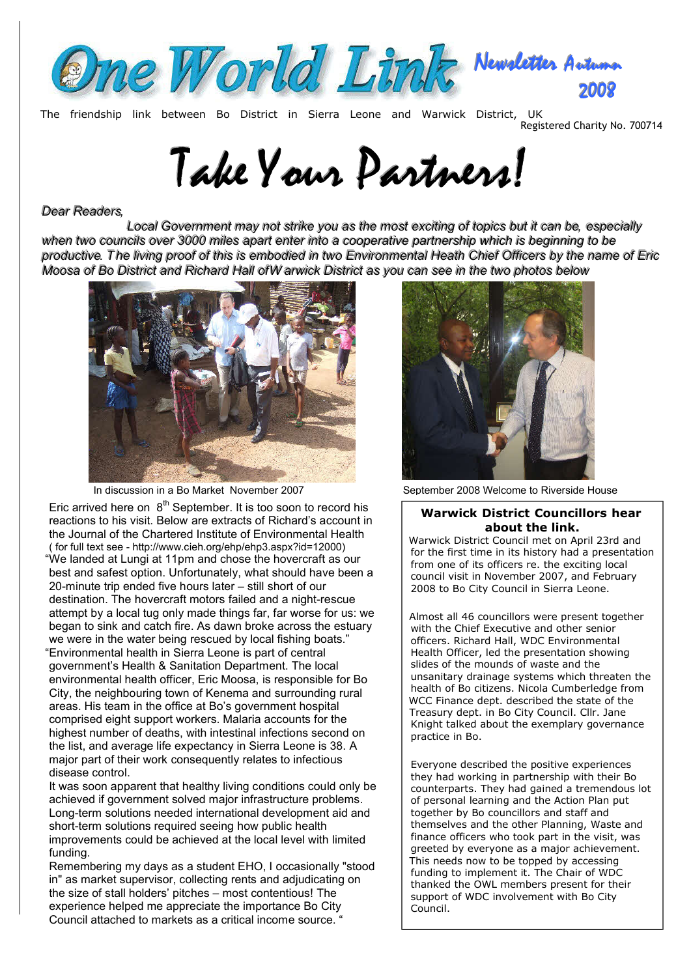

The friendship link between Bo District in Sierra Leone and Warwick District, UK

Registered Charity No. 700714

# Take Your Partners!

## *Dear Readers,*

Local Government may not strike you as the most exciting of topics but it can be, especially when two councils over 3000 miles apart enter into a cooperative partnership which is beginning to be productive. The living proof of this is embodied in two Environmental Heath Chief Officers by the name of Eric Moosa of Bo District and Richard Hall ofW arwick District as you can see in the two photos below



Eric arrived here on  $8<sup>th</sup>$  September. It is too soon to record his reactions to his visit. Below are extracts of Richard's account in the Journal of the Chartered Institute of Environmental Health ( for full text see - http://www.cieh.org/ehp/ehp3.aspx?id=12000) "We landed at Lungi at 11pm and chose the hovercraft as our best and safest option. Unfortunately, what should have been a 20-minute trip ended five hours later – still short of our destination. The hovercraft motors failed and a night-rescue attempt by a local tug only made things far, far worse for us: we began to sink and catch fire. As dawn broke across the estuary we were in the water being rescued by local fishing boats." "Environmental health in Sierra Leone is part of central government's Health & Sanitation Department. The local environmental health officer, Eric Moosa, is responsible for Bo City, the neighbouring town of Kenema and surrounding rural areas. His team in the office at Bo's government hospital comprised eight support workers. Malaria accounts for the highest number of deaths, with intestinal infections second on the list, and average life expectancy in Sierra Leone is 38. A major part of their work consequently relates to infectious disease control.

It was soon apparent that healthy living conditions could only be achieved if government solved major infrastructure problems. Long-term solutions needed international development aid and short-term solutions required seeing how public health improvements could be achieved at the local level with limited funding.

Remembering my days as a student EHO, I occasionally "stood in" as market supervisor, collecting rents and adjudicating on the size of stall holders' pitches – most contentious! The experience helped me appreciate the importance Bo City Council attached to markets as a critical income source. "



In discussion in a Bo Market November 2007 September 2008 Welcome to Riverside House

#### **Warwick District Councillors hear about the link.**

Warwick District Council met on April 23rd and for the first time in its history had a presentation from one of its officers re. the exciting local council visit in November 2007, and February 2008 to Bo City Council in Sierra Leone.

Almost all 46 councillors were present together with the Chief Executive and other senior officers. Richard Hall, WDC Environmental Health Officer, led the presentation showing slides of the mounds of waste and the unsanitary drainage systems which threaten the health of Bo citizens. Nicola Cumberledge from WCC Finance dept. described the state of the Treasury dept. in Bo City Council. Cllr. Jane Knight talked about the exemplary governance practice in Bo.

Everyone described the positive experiences they had working in partnership with their Bo counterparts. They had gained a tremendous lot of personal learning and the Action Plan put together by Bo councillors and staff and themselves and the other Planning, Waste and finance officers who took part in the visit, was greeted by everyone as a major achievement. This needs now to be topped by accessing funding to implement it. The Chair of WDC thanked the OWL members present for their support of WDC involvement with Bo City Council.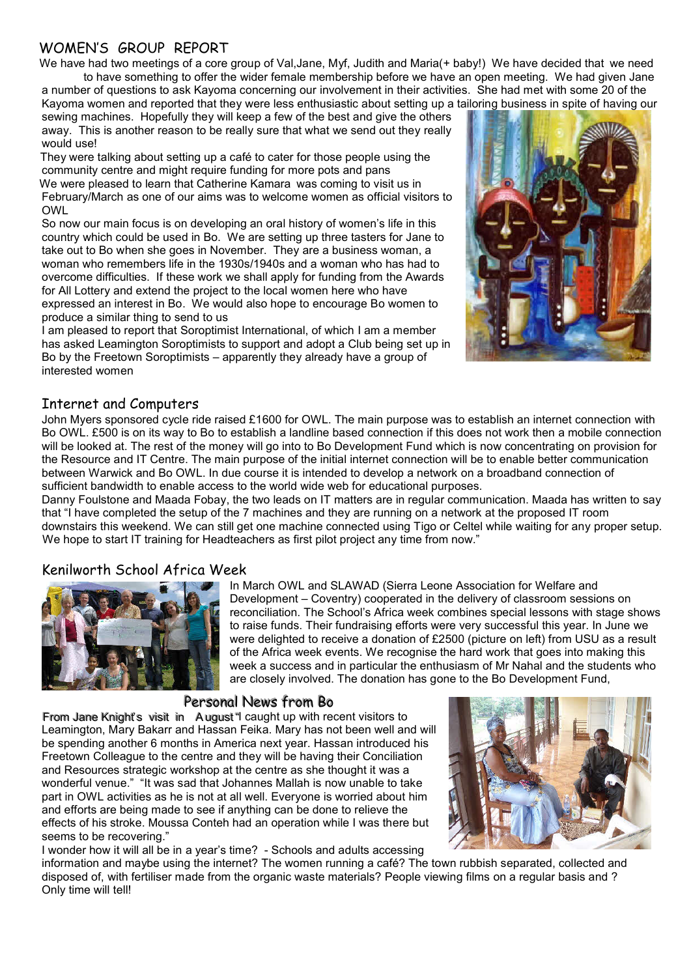# WOMEN'S GROUP REPORT

We have had two meetings of a core group of Val,Jane, Myf, Judith and Maria(+ baby!) We have decided that we need to have something to offer the wider female membership before we have an open meeting. We had given Jane a number of questions to ask Kayoma concerning our involvement in their activities. She had met with some 20 of the Kayoma women and reported that they were less enthusiastic about setting up a tailoring business in spite of having our

sewing machines. Hopefully they will keep a few of the best and give the others away. This is another reason to be really sure that what we send out they really would use!

They were talking about setting up a café to cater for those people using the community centre and might require funding for more pots and pans We were pleased to learn that Catherine Kamara was coming to visit us in February/March as one of our aims was to welcome women as official visitors to OWL

So now our main focus is on developing an oral history of women's life in this country which could be used in Bo. We are setting up three tasters for Jane to take out to Bo when she goes in November. They are a business woman, a woman who remembers life in the 1930s/1940s and a woman who has had to overcome difficulties. If these work we shall apply for funding from the Awards for All Lottery and extend the project to the local women here who have expressed an interest in Bo. We would also hope to encourage Bo women to produce a similar thing to send to us

I am pleased to report that Soroptimist International, of which I am a member has asked Leamington Soroptimists to support and adopt a Club being set up in Bo by the Freetown Soroptimists – apparently they already have a group of interested women



## Internet and Computers

John Myers sponsored cycle ride raised £1600 for OWL. The main purpose was to establish an internet connection with Bo OWL. £500 is on its way to Bo to establish a landline based connection if this does not work then a mobile connection will be looked at. The rest of the money will go into to Bo Development Fund which is now concentrating on provision for the Resource and IT Centre. The main purpose of the initial internet connection will be to enable better communication between Warwick and Bo OWL. In due course it is intended to develop a network on a broadband connection of sufficient bandwidth to enable access to the world wide web for educational purposes.

Danny Foulstone and Maada Fobay, the two leads on IT matters are in regular communication. Maada has written to say that "I have completed the setup of the 7 machines and they are running on a network at the proposed IT room downstairs this weekend. We can still get one machine connected using Tigo or Celtel while waiting for any proper setup. We hope to start IT training for Headteachers as first pilot project any time from now."

# Kenilworth School Africa Week



In March OWL and SLAWAD (Sierra Leone Association for Welfare and Development – Coventry) cooperated in the delivery of classroom sessions on reconciliation. The School's Africa week combines special lessons with stage shows to raise funds. Their fundraising efforts were very successful this year. In June we were delighted to receive a donation of £2500 (picture on left) from USU as a result of the Africa week events. We recognise the hard work that goes into making this week a success and in particular the enthusiasm of Mr Nahal and the students who are closely involved. The donation has gone to the Bo Development Fund,

# Personal News from Bo

From Jane Knight's visit in August" caught up with recent visitors to Leamington, Mary Bakarr and Hassan Feika. Mary has not been well and will be spending another 6 months in America next year. Hassan introduced his Freetown Colleague to the centre and they will be having their Conciliation and Resources strategic workshop at the centre as she thought it was a wonderful venue." "It was sad that Johannes Mallah is now unable to take part in OWL activities as he is not at all well. Everyone is worried about him and efforts are being made to see if anything can be done to relieve the effects of his stroke. Moussa Conteh had an operation while I was there but seems to be recovering."



I wonder how it will all be in a year's time? - Schools and adults accessing

information and maybe using the internet? The women running a café? The town rubbish separated, collected and disposed of, with fertiliser made from the organic waste materials? People viewing films on a regular basis and ? Only time will tell!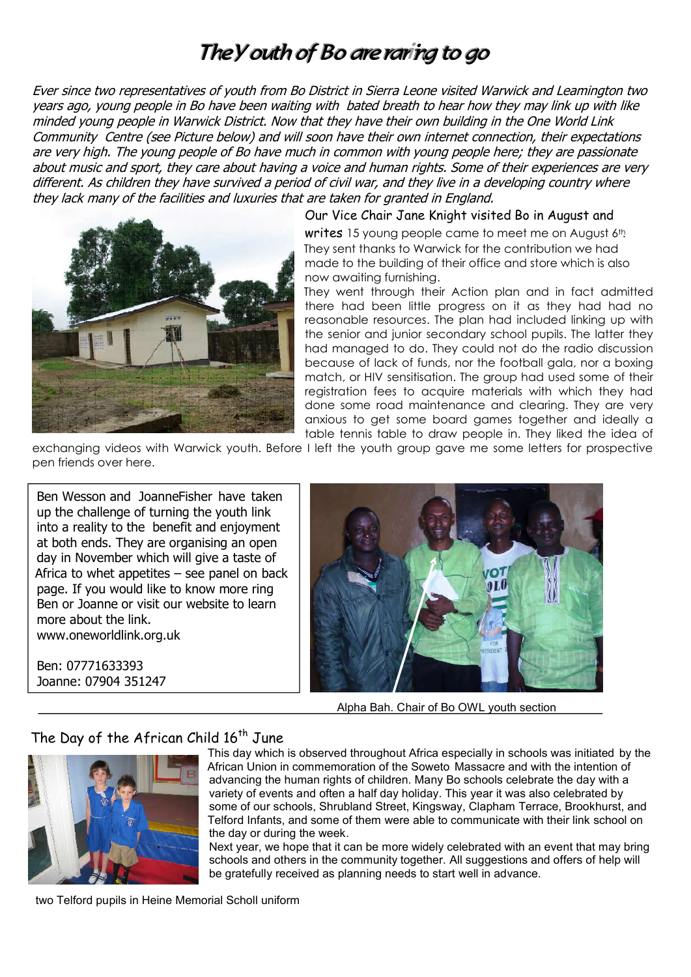# The *Y* outh of Bo are raring to go

Ever since two representatives of youth from Bo District in Sierra Leone visited Warwick and Leamington two years ago, young people in Bo have been waiting with bated breath to hear how they may link up with like minded young people in Warwick District. Now that they have their own building in the One World Link Community Centre (see Picture below) and will soon have their own internet connection, their expectations are very high. The young people of Bo have much in common with young people here; they are passionate about music and sport, they care about having a voice and human rights. Some of their experiences are very different. As children they have survived a period of civil war, and they live in a developing country where they lack many of the facilities and luxuries that are taken for granted in England.



### Our Vice Chair Jane Knight visited Bo in August and

writes 15 young people came to meet me on August 6th. They sent thanks to Warwick for the contribution we had made to the building of their office and store which is also now awaiting furnishing.

They went through their Action plan and in fact admitted there had been little progress on it as they had had no reasonable resources. The plan had included linking up with the senior and junior secondary school pupils. The latter they had managed to do. They could not do the radio discussion because of lack of funds, nor the football gala, nor a boxing match, or HIV sensitisation. The group had used some of their registration fees to acquire materials with which they had done some road maintenance and clearing. They are very anxious to get some board games together and ideally a table tennis table to draw people in. They liked the idea of

exchanging videos with Warwick youth. Before I left the youth group gave me some letters for prospective pen friends over here.

Ben Wesson and JoanneFisher have taken up the challenge of turning the youth link into a reality to the benefit and enjoyment at both ends. They are organising an open day in November which will give a taste of Africa to whet appetites  $-$  see panel on back page. If you would like to know more ring Ben or Joanne or visit our website to learn more about the link. www.oneworldlink.org.uk

Ben: 07771633393 Joanne: 07904 351247



Alpha Bah. Chair of Bo OWL youth section

# The Day of the African Child 16<sup>th</sup> June



This day which is observed throughout Africa especially in schools was initiated by the African Union in commemoration of the Soweto Massacre and with the intention of advancing the human rights of children. Many Bo schools celebrate the day with a variety of events and often a half day holiday. This year it was also celebrated by some of our schools, Shrubland Street, Kingsway, Clapham Terrace, Brookhurst, and Telford Infants, and some of them were able to communicate with their link school on the day or during the week.

Next year, we hope that it can be more widely celebrated with an event that may bring schools and others in the community together. All suggestions and offers of help will be gratefully received as planning needs to start well in advance.

two Telford pupils in Heine Memorial Scholl uniform